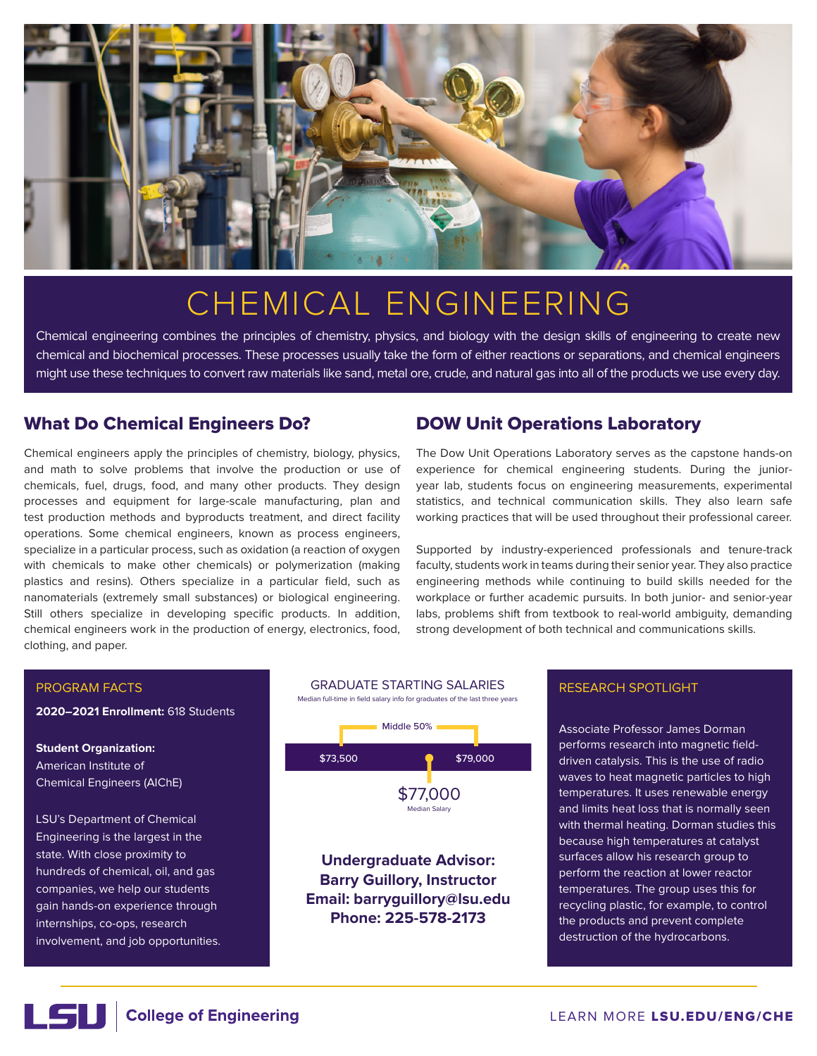

# CHEMICAL ENGINEERING

Chemical engineering combines the principles of chemistry, physics, and biology with the design skills of engineering to create new chemical and biochemical processes. These processes usually take the form of either reactions or separations, and chemical engineers might use these techniques to convert raw materials like sand, metal ore, crude, and natural gas into all of the products we use every day.

## What Do Chemical Engineers Do?

Chemical engineers apply the principles of chemistry, biology, physics, and math to solve problems that involve the production or use of chemicals, fuel, drugs, food, and many other products. They design processes and equipment for large-scale manufacturing, plan and test production methods and byproducts treatment, and direct facility operations. Some chemical engineers, known as process engineers, specialize in a particular process, such as oxidation (a reaction of oxygen with chemicals to make other chemicals) or polymerization (making plastics and resins). Others specialize in a particular field, such as nanomaterials (extremely small substances) or biological engineering. Still others specialize in developing specific products. In addition, chemical engineers work in the production of energy, electronics, food, clothing, and paper.

# DOW Unit Operations Laboratory

The Dow Unit Operations Laboratory serves as the capstone hands-on experience for chemical engineering students. During the junioryear lab, students focus on engineering measurements, experimental statistics, and technical communication skills. They also learn safe working practices that will be used throughout their professional career.

Supported by industry-experienced professionals and tenure-track faculty, students work in teams during their senior year. They also practice engineering methods while continuing to build skills needed for the workplace or further academic pursuits. In both junior- and senior-year labs, problems shift from textbook to real-world ambiguity, demanding strong development of both technical and communications skills.

### PROGRAM FACTS

**2020–2021 Enrollment:** 618 Students

**Student Organization:** American Institute of Chemical Engineers (AIChE)

LSU's Department of Chemical Engineering is the largest in the state. With close proximity to hundreds of chemical, oil, and gas companies, we help our students gain hands-on experience through internships, co-ops, research involvement, and job opportunities.



### RESEARCH SPOTLIGHT

Associate Professor James Dorman performs research into magnetic fielddriven catalysis. This is the use of radio waves to heat magnetic particles to high temperatures. It uses renewable energy and limits heat loss that is normally seen with thermal heating. Dorman studies this because high temperatures at catalyst surfaces allow his research group to perform the reaction at lower reactor temperatures. The group uses this for recycling plastic, for example, to control the products and prevent complete destruction of the hydrocarbons.